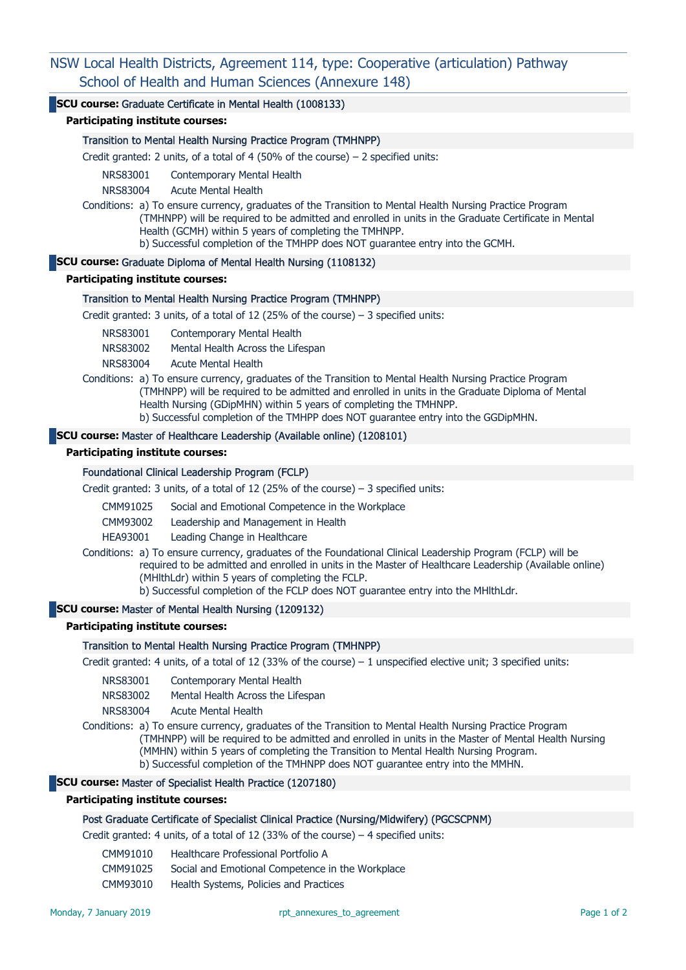# NSW Local Health Districts, Agreement 114, type: Cooperative (articulation) Pathway School of Health and Human Sciences (Annexure 148)

# SCU course: Graduate Certificate in Mental Health (1008133)

Participating institute courses:

### Transition to Mental Health Nursing Practice Program (TMHNPP)

Credit granted: 2 units, of a total of 4 (50% of the course)  $-$  2 specified units:

NRS83001 Contemporary Mental Health

NRS83004 Acute Mental Health

Conditions: a) To ensure currency, graduates of the Transition to Mental Health Nursing Practice Program (TMHNPP) will be required to be admitted and enrolled in units in the Graduate Certificate in Mental Health (GCMH) within 5 years of completing the TMHNPP. b) Successful completion of the TMHPP does NOT guarantee entry into the GCMH.

#### SCU course: Graduate Diploma of Mental Health Nursing (1108132)

Participating institute courses:

### Transition to Mental Health Nursing Practice Program (TMHNPP)

Credit granted: 3 units, of a total of 12 (25% of the course)  $-$  3 specified units:

NRS83001 Contemporary Mental Health

NRS83002 Mental Health Across the Lifespan

NRS83004 Acute Mental Health

Conditions: a) To ensure currency, graduates of the Transition to Mental Health Nursing Practice Program (TMHNPP) will be required to be admitted and enrolled in units in the Graduate Diploma of Mental Health Nursing (GDipMHN) within 5 years of completing the TMHNPP.

b) Successful completion of the TMHPP does NOT guarantee entry into the GGDipMHN.

## SCU course: Master of Healthcare Leadership (Available online) (1208101)

#### Participating institute courses:

### Foundational Clinical Leadership Program (FCLP)

Credit granted: 3 units, of a total of 12 (25% of the course) – 3 specified units:

- CMM91025 Social and Emotional Competence in the Workplace
- CMM93002 Leadership and Management in Health

HEA93001 Leading Change in Healthcare

Conditions: a) To ensure currency, graduates of the Foundational Clinical Leadership Program (FCLP) will be required to be admitted and enrolled in units in the Master of Healthcare Leadership (Available online) (MHlthLdr) within 5 years of completing the FCLP. b) Successful completion of the FCLP does NOT guarantee entry into the MHlthLdr.

# SCU course: Master of Mental Health Nursing (1209132)

# Participating institute courses:

#### Transition to Mental Health Nursing Practice Program (TMHNPP)

Credit granted: 4 units, of a total of 12 (33% of the course) – 1 unspecified elective unit; 3 specified units:

NRS83001 Contemporary Mental Health

NRS83002 Mental Health Across the Lifespan

NRS83004 Acute Mental Health

Conditions: a) To ensure currency, graduates of the Transition to Mental Health Nursing Practice Program (TMHNPP) will be required to be admitted and enrolled in units in the Master of Mental Health Nursing (MMHN) within 5 years of completing the Transition to Mental Health Nursing Program. b) Successful completion of the TMHNPP does NOT guarantee entry into the MMHN.

# SCU course: Master of Specialist Health Practice (1207180)

# Participating institute courses:

### Post Graduate Certificate of Specialist Clinical Practice (Nursing/Midwifery) (PGCSCPNM)

Credit granted: 4 units, of a total of 12 (33% of the course) – 4 specified units:

- CMM91010 Healthcare Professional Portfolio A
- CMM91025 Social and Emotional Competence in the Workplace
- CMM93010 Health Systems, Policies and Practices